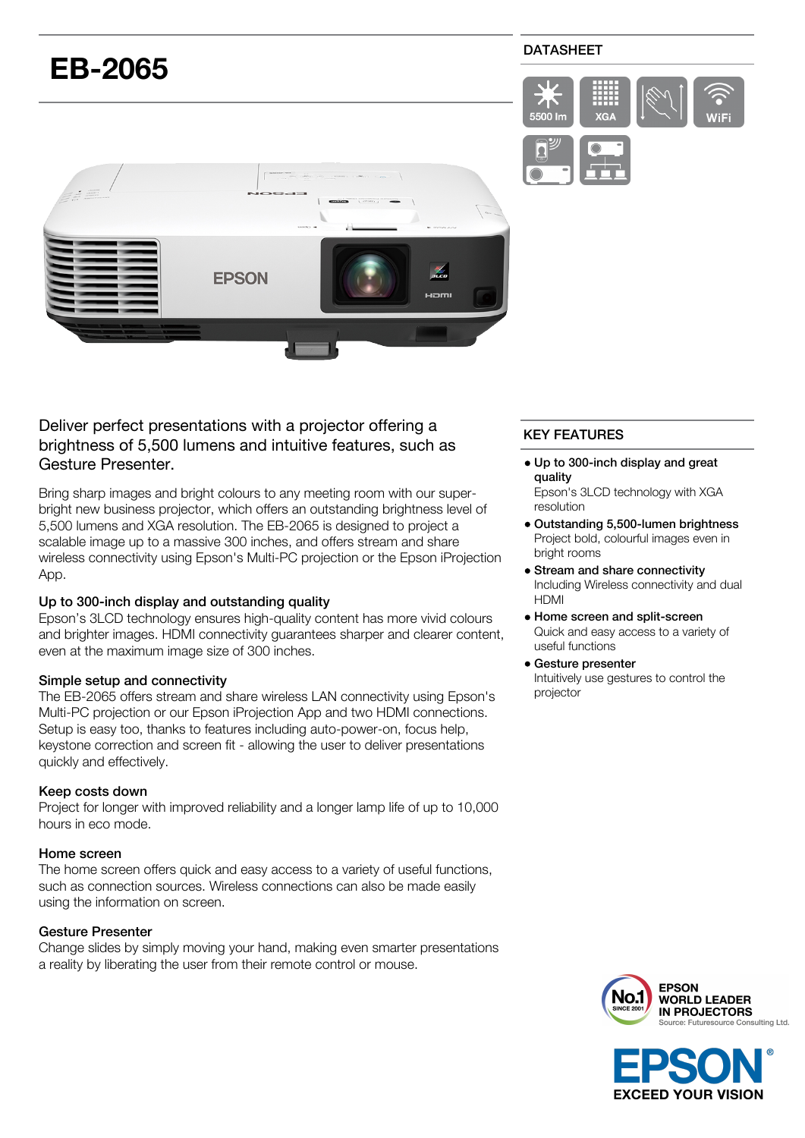

# Deliver perfect presentations with a projector offering a brightness of 5,500 lumens and intuitive features, such as Gesture Presenter.

Bring sharp images and bright colours to any meeting room with our superbright new business projector, which offers an outstanding brightness level of 5,500 lumens and XGA resolution. The EB-2065 is designed to project a scalable image up to a massive 300 inches, and offers stream and share wireless connectivity using Epson's Multi-PC projection or the Epson iProjection App.

# Up to 300-inch display and outstanding quality

Epson's 3LCD technology ensures high-quality content has more vivid colours and brighter images. HDMI connectivity guarantees sharper and clearer content, even at the maximum image size of 300 inches.

# Simple setup and connectivity

The EB-2065 offers stream and share wireless LAN connectivity using Epson's Multi-PC projection or our Epson iProjection App and two HDMI connections. Setup is easy too, thanks to features including auto-power-on, focus help, keystone correction and screen fit - allowing the user to deliver presentations quickly and effectively.

# Keep costs down

Project for longer with improved reliability and a longer lamp life of up to 10,000 hours in eco mode.

# Home screen

The home screen offers quick and easy access to a variety of useful functions, such as connection sources. Wireless connections can also be made easily using the information on screen.

# Gesture Presenter

Change slides by simply moving your hand, making even smarter presentations a reality by liberating the user from their remote control or mouse.

# KEY FEATURES

- Up to 300-inch display and great quality
	- Epson's 3LCD technology with XGA resolution
- Outstanding 5,500-lumen brightness Project bold, colourful images even in bright rooms
- Stream and share connectivity Including Wireless connectivity and dual HDMI
- Home screen and split-screen Quick and easy access to a variety of useful functions
- Gesture presenter Intuitively use gestures to control the projector



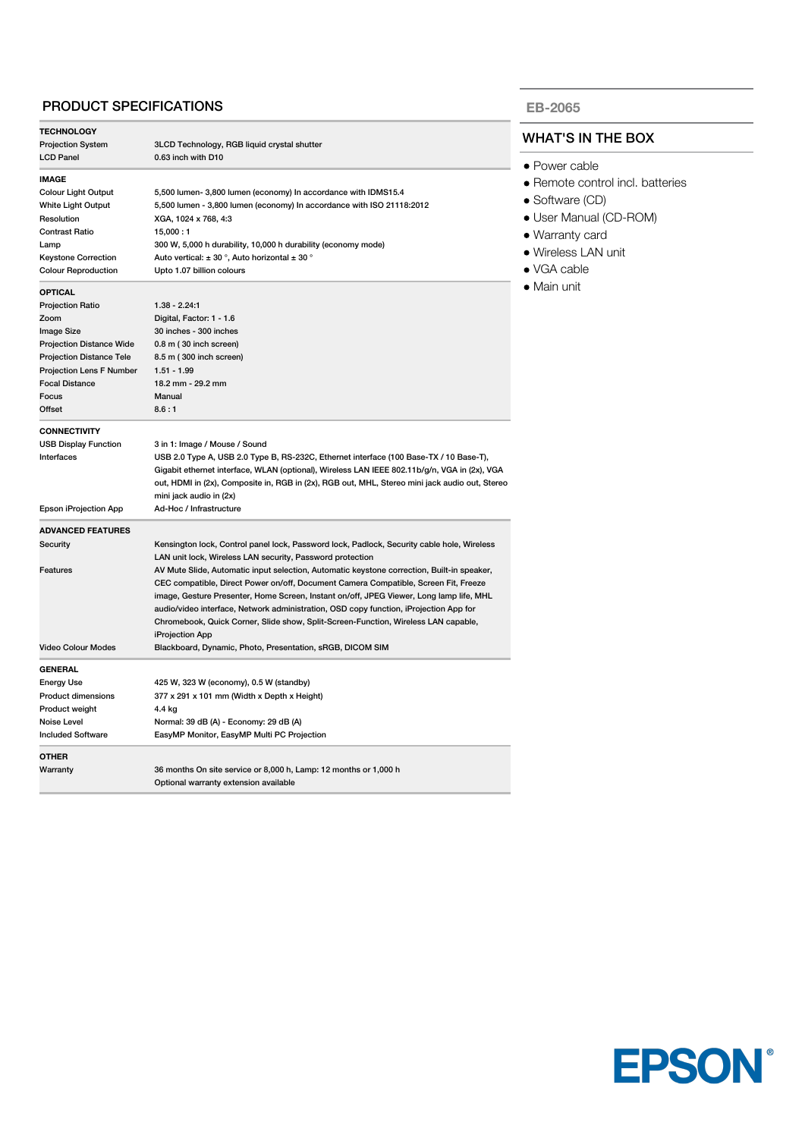# PRODUCT SPECIFICATIONS

| <b>TECHNOLOGY</b>               |                                                                                                |  |
|---------------------------------|------------------------------------------------------------------------------------------------|--|
| <b>Projection System</b>        | 3LCD Technology, RGB liquid crystal shutter                                                    |  |
| <b>LCD Panel</b>                | 0.63 inch with D10                                                                             |  |
| <b>IMAGE</b>                    |                                                                                                |  |
| <b>Colour Light Output</b>      | 5,500 lumen- 3,800 lumen (economy) In accordance with IDMS15.4                                 |  |
| White Light Output              | 5,500 lumen - 3,800 lumen (economy) In accordance with ISO 21118:2012                          |  |
| Resolution                      | XGA, 1024 x 768, 4:3                                                                           |  |
| <b>Contrast Ratio</b>           | 15,000:1                                                                                       |  |
| Lamp                            | 300 W, 5,000 h durability, 10,000 h durability (economy mode)                                  |  |
| <b>Keystone Correction</b>      | Auto vertical: $\pm$ 30 °, Auto horizontal $\pm$ 30 °                                          |  |
| <b>Colour Reproduction</b>      | Upto 1.07 billion colours                                                                      |  |
| <b>OPTICAL</b>                  |                                                                                                |  |
| <b>Projection Ratio</b>         | $1.38 - 2.24:1$                                                                                |  |
| Zoom                            | Digital, Factor: 1 - 1.6                                                                       |  |
| <b>Image Size</b>               | 30 inches - 300 inches                                                                         |  |
| <b>Projection Distance Wide</b> | 0.8 m (30 inch screen)                                                                         |  |
| <b>Projection Distance Tele</b> | 8.5 m (300 inch screen)                                                                        |  |
| Projection Lens F Number        | $1.51 - 1.99$                                                                                  |  |
| <b>Focal Distance</b>           | 18.2 mm - 29.2 mm                                                                              |  |
| Focus                           | Manual                                                                                         |  |
| Offset                          | 8.6:1                                                                                          |  |
| <b>CONNECTIVITY</b>             |                                                                                                |  |
| <b>USB Display Function</b>     | 3 in 1: Image / Mouse / Sound                                                                  |  |
| Interfaces                      | USB 2.0 Type A, USB 2.0 Type B, RS-232C, Ethernet interface (100 Base-TX / 10 Base-T),         |  |
|                                 | Gigabit ethernet interface, WLAN (optional), Wireless LAN IEEE 802.11b/g/n, VGA in (2x), VGA   |  |
|                                 | out, HDMI in (2x), Composite in, RGB in (2x), RGB out, MHL, Stereo mini jack audio out, Stereo |  |
|                                 | mini jack audio in (2x)                                                                        |  |
| Epson iProjection App           | Ad-Hoc / Infrastructure                                                                        |  |
| <b>ADVANCED FEATURES</b>        |                                                                                                |  |
| Security                        | Kensington lock, Control panel lock, Password lock, Padlock, Security cable hole, Wireless     |  |
|                                 | LAN unit lock, Wireless LAN security, Password protection                                      |  |
| Features                        | AV Mute Slide, Automatic input selection, Automatic keystone correction, Built-in speaker,     |  |
|                                 | CEC compatible, Direct Power on/off, Document Camera Compatible, Screen Fit, Freeze            |  |
|                                 | image, Gesture Presenter, Home Screen, Instant on/off, JPEG Viewer, Long lamp life, MHL        |  |
|                                 | audio/video interface, Network administration, OSD copy function, iProjection App for          |  |
|                                 | Chromebook, Quick Corner, Slide show, Split-Screen-Function, Wireless LAN capable,             |  |
|                                 | iProjection App                                                                                |  |
| <b>Video Colour Modes</b>       | Blackboard, Dynamic, Photo, Presentation, sRGB, DICOM SIM                                      |  |
| <b>GENERAL</b>                  |                                                                                                |  |
| <b>Energy Use</b>               | 425 W, 323 W (economy), 0.5 W (standby)                                                        |  |
| Product dimensions              | 377 x 291 x 101 mm (Width x Depth x Height)                                                    |  |
| Product weight                  | 4.4 kg                                                                                         |  |
| Noise Level                     | Normal: 39 dB (A) - Economy: 29 dB (A)                                                         |  |
| <b>Included Software</b>        | EasyMP Monitor, EasyMP Multi PC Projection                                                     |  |
| <b>OTHER</b>                    |                                                                                                |  |
| Warranty                        | 36 months On site service or 8,000 h, Lamp: 12 months or 1,000 h                               |  |
|                                 | Optional warranty extension available                                                          |  |

#### **EB-2065**

### WHAT'S IN THE BOX

- Power cable
- Remote control incl. batteries
- Software (CD)
- User Manual (CD-ROM)
- Warranty card
- Wireless LAN unit
- VGA cable
- Main unit